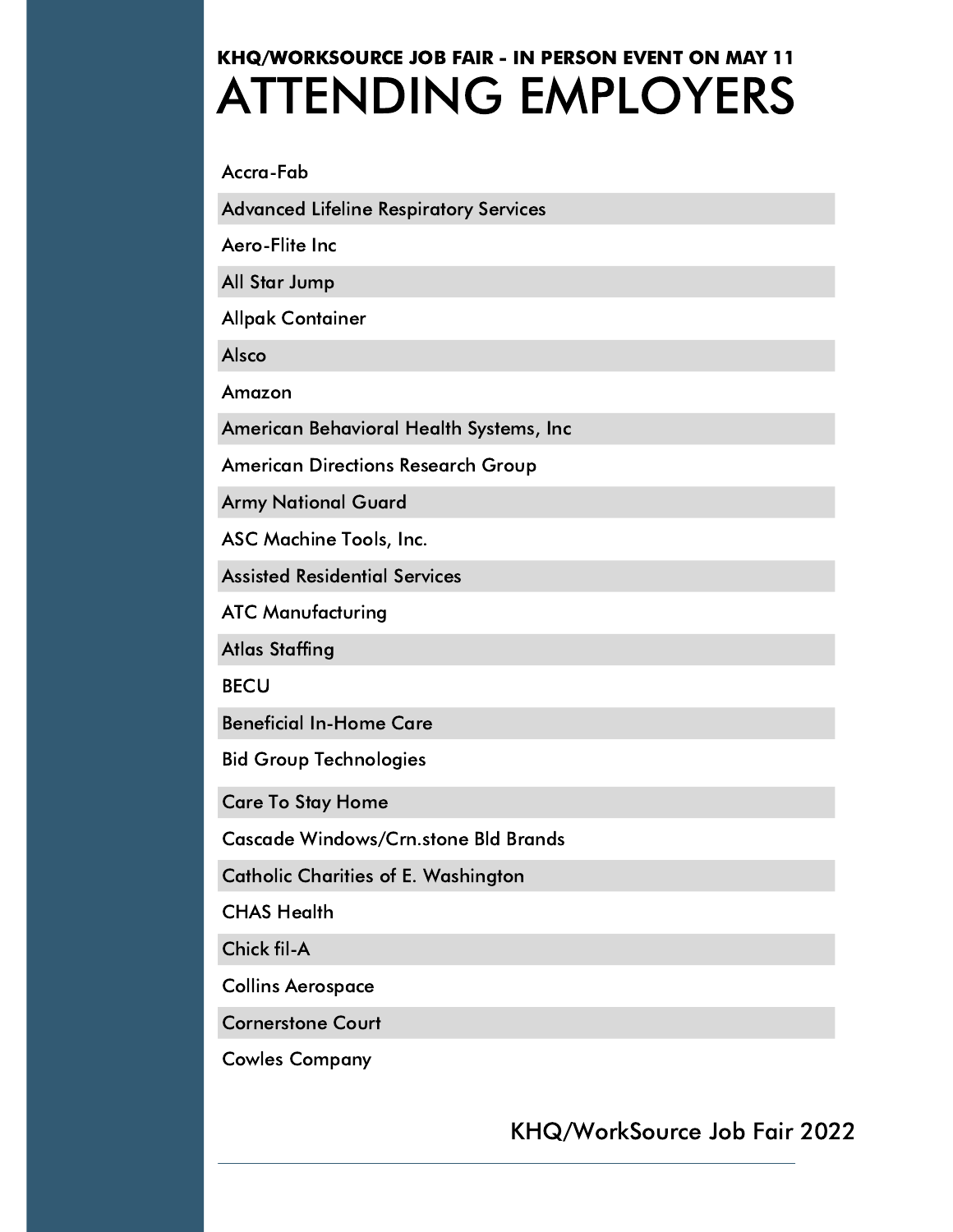## ATTENDING EMPLOYERS KHQ/WORKSOURCE JOB FAIR - IN PERSON EVENT ON MAY 11

Accra-Fab

Advanced Lifeline Respiratory Services

Aero-Flite Inc

All Star Jump

Allpak Container

Alsco

Amazon

American Behavioral Health Systems, Inc

American Directions Research Group

Army National Guard

ASC Machine Tools, Inc.

Assisted Residential Services

ATC Manufacturing

Atlas Staffing

**BECU** 

Beneficial In-Home Care

Bid Group Technologies

Care To Stay Home

Cascade Windows/Crn.stone Bld Brands

Catholic Charities of E. Washington

CHAS Health

Chick fil-A

Collins Aerospace

Cornerstone Court

Cowles Company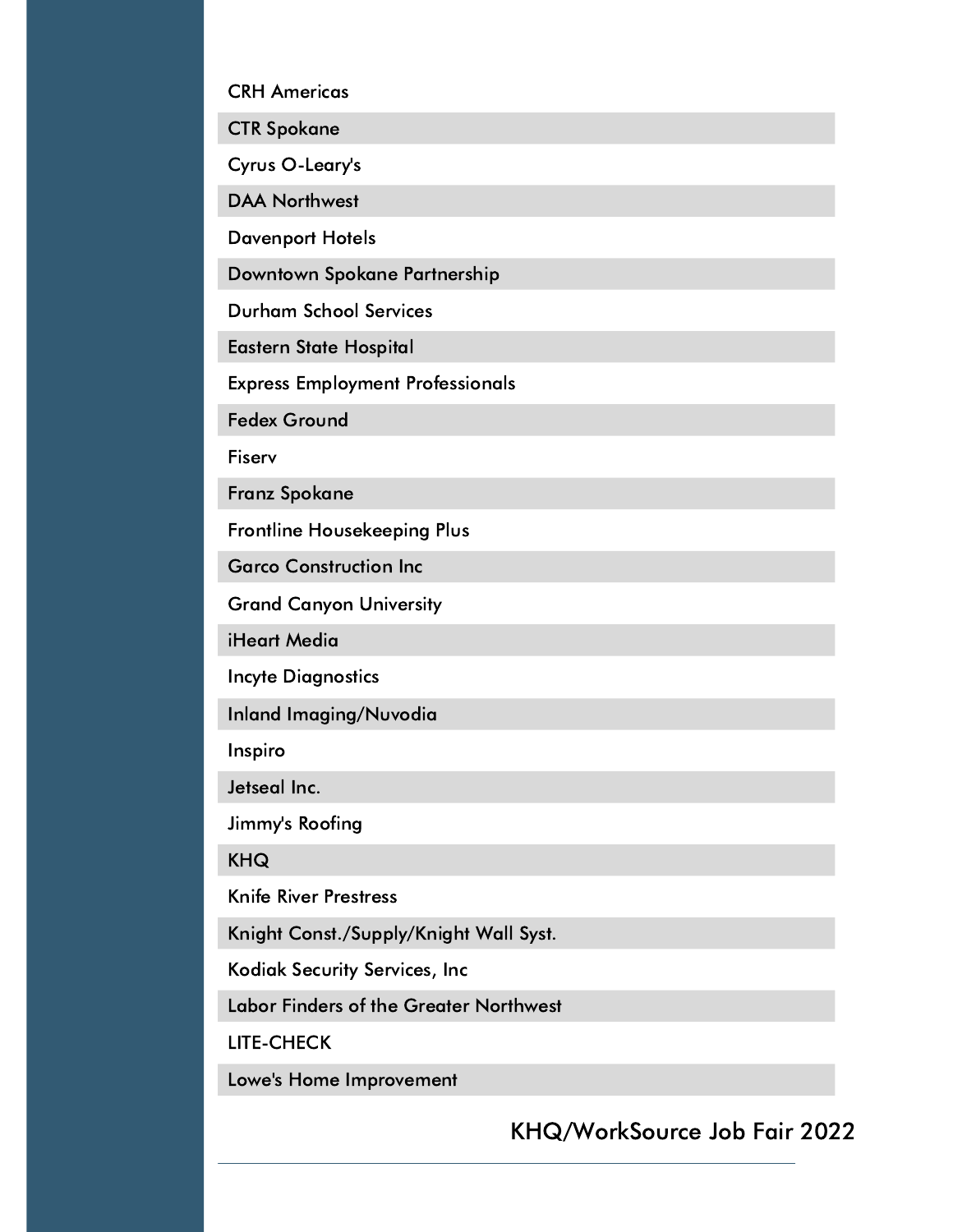CRH Americas

CTR Spokane

Cyrus O-Leary's

DAA Northwest

Davenport Hotels

Downtown Spokane Partnership

Durham School Services

Eastern State Hospital

Express Employment Professionals

Fedex Ground

Fiserv

Franz Spokane

Frontline Housekeeping Plus

Garco Construction Inc

Grand Canyon University

iHeart Media

Incyte Diagnostics

Inland Imaging/Nuvodia

Inspiro

Jetseal Inc.

Jimmy's Roofing

KHQ

Knife River Prestress

Knight Const./Supply/Knight Wall Syst.

Kodiak Security Services, Inc

Labor Finders of the Greater Northwest

LITE-CHECK

Lowe's Home Improvement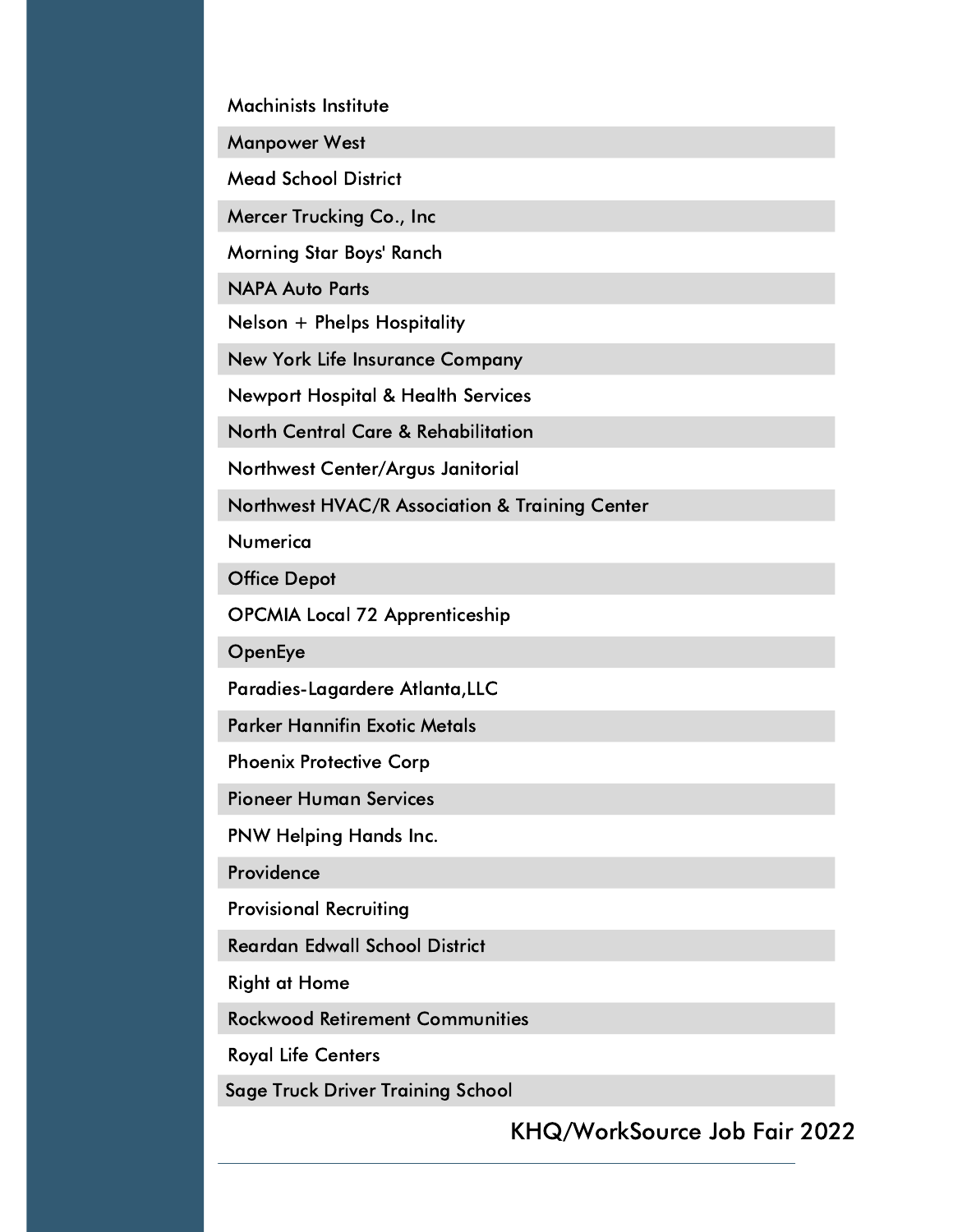Machinists Institute

Manpower West

Mead School District

Mercer Trucking Co., Inc

Morning Star Boys' Ranch

NAPA Auto Parts

Nelson + Phelps Hospitality

New York Life Insurance Company

Newport Hospital & Health Services

North Central Care & Rehabilitation

Northwest Center/Argus Janitorial

Northwest HVAC/R Association & Training Center

Numerica

Office Depot

OPCMIA Local 72 Apprenticeship

**OpenEye** 

Paradies-Lagardere Atlanta,LLC

Parker Hannifin Exotic Metals

Phoenix Protective Corp

Pioneer Human Services

PNW Helping Hands Inc.

**Providence** 

Provisional Recruiting

Reardan Edwall School District

Right at Home

Rockwood Retirement Communities

Royal Life Centers

Sage Truck Driver Training School